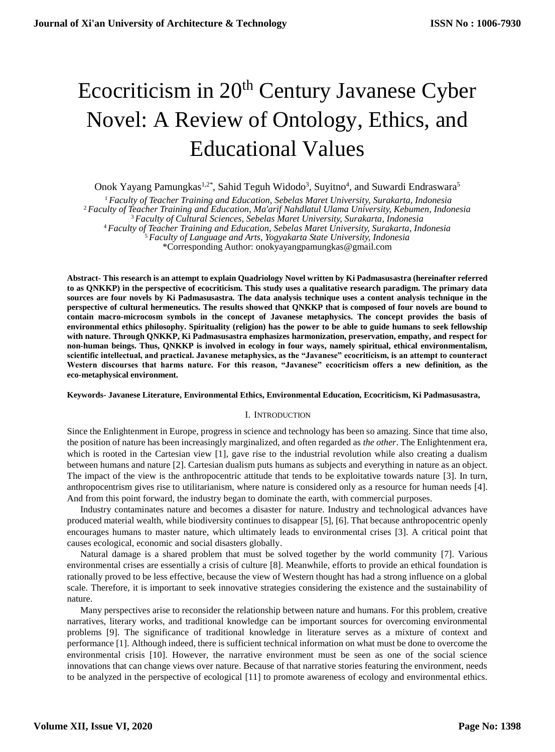# Ecocriticism in 20<sup>th</sup> Century Javanese Cyber Novel: A Review of Ontology, Ethics, and Educational Values

Onok Yayang Pamungkas<sup>1,2\*</sup>, Sahid Teguh Widodo<sup>3</sup>, Suyitno<sup>4</sup>, and Suwardi Endraswara<sup>5</sup>

 *Faculty of Teacher Training and Education, Sebelas Maret University, Surakarta, Indonesia Faculty of Teacher Training and Education, Ma'arif Nahdlatul Ulama University, Kebumen, Indonesia Faculty of Cultural Sciences, Sebelas Maret University, Surakarta, Indonesia Faculty of Teacher Training and Education, Sebelas Maret University, Surakarta, Indonesia Faculty of Language and Arts, Yogyakarta State University, Indonesia* \*Corresponding Author: onokyayangpamungkas@gmail.com

**Abstract- This research is an attempt to explain Quadriology Novel written by Ki Padmasusastra (hereinafter referred to as QNKKP) in the perspective of ecocriticism. This study uses a qualitative research paradigm. The primary data sources are four novels by Ki Padmasusastra. The data analysis technique uses a content analysis technique in the perspective of cultural hermeneutics. The results showed that QNKKP that is composed of four novels are bound to contain macro-microcosm symbols in the concept of Javanese metaphysics. The concept provides the basis of environmental ethics philosophy. Spirituality (religion) has the power to be able to guide humans to seek fellowship with nature. Through QNKKP, Ki Padmasusastra emphasizes harmonization, preservation, empathy, and respect for non-human beings. Thus, QNKKP is involved in ecology in four ways, namely spiritual, ethical environmentalism, scientific intellectual, and practical. Javanese metaphysics, as the "Javanese" ecocriticism, is an attempt to counteract Western discourses that harms nature. For this reason, "Javanese" ecocriticism offers a new definition, as the eco-metaphysical environment.**

## **Keywords- Javanese Literature, Environmental Ethics, Environmental Education, Ecocriticism, Ki Padmasusastra,**

# I. INTRODUCTION

Since the Enlightenment in Europe, progress in science and technology has been so amazing. Since that time also, the position of nature has been increasingly marginalized, and often regarded as *the other*. The Enlightenment era, which is rooted in the Cartesian view [1], gave rise to the industrial revolution while also creating a dualism between humans and nature [2]. Cartesian dualism puts humans as subjects and everything in nature as an object. The impact of the view is the anthropocentric attitude that tends to be exploitative towards nature [3]. In turn, anthropocentrism gives rise to utilitarianism, where nature is considered only as a resource for human needs [4]. And from this point forward, the industry began to dominate the earth, with commercial purposes.

Industry contaminates nature and becomes a disaster for nature. Industry and technological advances have produced material wealth, while biodiversity continues to disappear [5], [6]. That because anthropocentric openly encourages humans to master nature, which ultimately leads to environmental crises [3]. A critical point that causes ecological, economic and social disasters globally.

Natural damage is a shared problem that must be solved together by the world community [7]. Various environmental crises are essentially a crisis of culture [8]. Meanwhile, efforts to provide an ethical foundation is rationally proved to be less effective, because the view of Western thought has had a strong influence on a global scale. Therefore, it is important to seek innovative strategies considering the existence and the sustainability of nature.

Many perspectives arise to reconsider the relationship between nature and humans. For this problem, creative narratives, literary works, and traditional knowledge can be important sources for overcoming environmental problems [9]. The significance of traditional knowledge in literature serves as a mixture of context and performance [1]. Although indeed, there is sufficient technical information on what must be done to overcome the environmental crisis [10]. However, the narrative environment must be seen as one of the social science innovations that can change views over nature. Because of that narrative stories featuring the environment, needs to be analyzed in the perspective of ecological [11] to promote awareness of ecology and environmental ethics.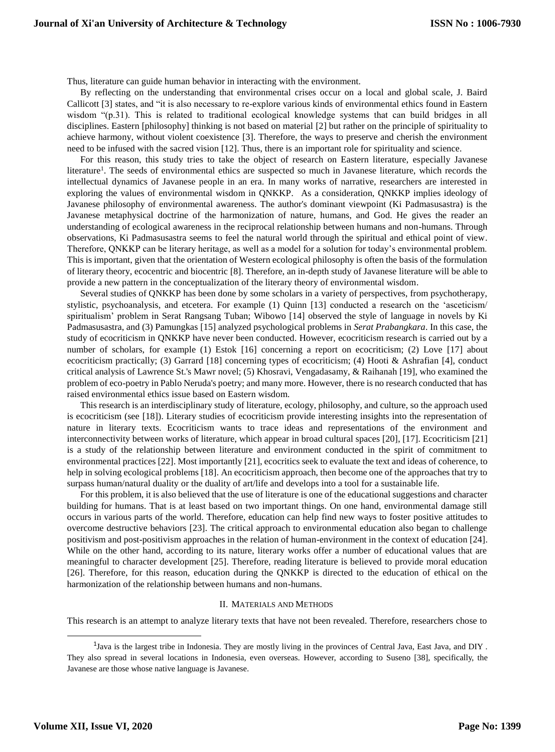Thus, literature can guide human behavior in interacting with the environment.

By reflecting on the understanding that environmental crises occur on a local and global scale, J. Baird Callicott [3] states, and "it is also necessary to re-explore various kinds of environmental ethics found in Eastern wisdom "(p.31). This is related to traditional ecological knowledge systems that can build bridges in all disciplines. Eastern [philosophy] thinking is not based on material [2] but rather on the principle of spirituality to achieve harmony, without violent coexistence [3]. Therefore, the ways to preserve and cherish the environment need to be infused with the sacred vision [12]. Thus, there is an important role for spirituality and science.

For this reason, this study tries to take the object of research on Eastern literature, especially Javanese literature<sup>1</sup>. The seeds of environmental ethics are suspected so much in Javanese literature, which records the intellectual dynamics of Javanese people in an era. In many works of narrative, researchers are interested in exploring the values of environmental wisdom in QNKKP. As a consideration, QNKKP implies ideology of Javanese philosophy of environmental awareness. The author's dominant viewpoint (Ki Padmasusastra) is the Javanese metaphysical doctrine of the harmonization of nature, humans, and God. He gives the reader an understanding of ecological awareness in the reciprocal relationship between humans and non-humans. Through observations, Ki Padmasusastra seems to feel the natural world through the spiritual and ethical point of view. Therefore, QNKKP can be literary heritage, as well as a model for a solution for today's environmental problem. This is important, given that the orientation of Western ecological philosophy is often the basis of the formulation of literary theory, ecocentric and biocentric [8]. Therefore, an in-depth study of Javanese literature will be able to provide a new pattern in the conceptualization of the literary theory of environmental wisdom.

Several studies of QNKKP has been done by some scholars in a variety of perspectives, from psychotherapy, stylistic, psychoanalysis, and etcetera. For example (1) Quinn [13] conducted a research on the 'asceticism/ spiritualism' problem in Serat Rangsang Tuban; Wibowo [14] observed the style of language in novels by Ki Padmasusastra, and (3) Pamungkas [15] analyzed psychological problems in *Serat Prabangkara*. In this case, the study of ecocriticism in QNKKP have never been conducted. However, ecocriticism research is carried out by a number of scholars, for example (1) Estok [16] concerning a report on ecocriticism; (2) Love [17] about ecocriticism practically; (3) Garrard [18] concerning types of ecocriticism; (4) Hooti & Ashrafian [4], conduct critical analysis of Lawrence St.'s Mawr novel; (5) Khosravi, Vengadasamy, & Raihanah [19], who examined the problem of eco-poetry in Pablo Neruda's poetry; and many more. However, there is no research conducted that has raised environmental ethics issue based on Eastern wisdom.

This research is an interdisciplinary study of literature, ecology, philosophy, and culture, so the approach used is ecocriticism (see [18]). Literary studies of ecocriticism provide interesting insights into the representation of nature in literary texts. Ecocriticism wants to trace ideas and representations of the environment and interconnectivity between works of literature, which appear in broad cultural spaces [20], [17]. Ecocriticism [21] is a study of the relationship between literature and environment conducted in the spirit of commitment to environmental practices [22]. Most importantly [21], ecocritics seek to evaluate the text and ideas of coherence, to help in solving ecological problems [18]. An ecocriticism approach, then become one of the approaches that try to surpass human/natural duality or the duality of art/life and develops into a tool for a sustainable life.

For this problem, it is also believed that the use of literature is one of the educational suggestions and character building for humans. That is at least based on two important things. On one hand, environmental damage still occurs in various parts of the world. Therefore, education can help find new ways to foster positive attitudes to overcome destructive behaviors [23]. The critical approach to environmental education also began to challenge positivism and post-positivism approaches in the relation of human-environment in the context of education [24]. While on the other hand, according to its nature, literary works offer a number of educational values that are meaningful to character development [25]. Therefore, reading literature is believed to provide moral education [26]. Therefore, for this reason, education during the QNKKP is directed to the education of ethical on the harmonization of the relationship between humans and non-humans.

#### II. MATERIALS AND METHODS

This research is an attempt to analyze literary texts that have not been revealed. Therefore, researchers chose to

-

<sup>&</sup>lt;sup>1</sup>Java is the largest tribe in Indonesia. They are mostly living in the provinces of Central Java, East Java, and DIY. They also spread in several locations in Indonesia, even overseas. However, according to Suseno [38], specifically, the Javanese are those whose native language is Javanese.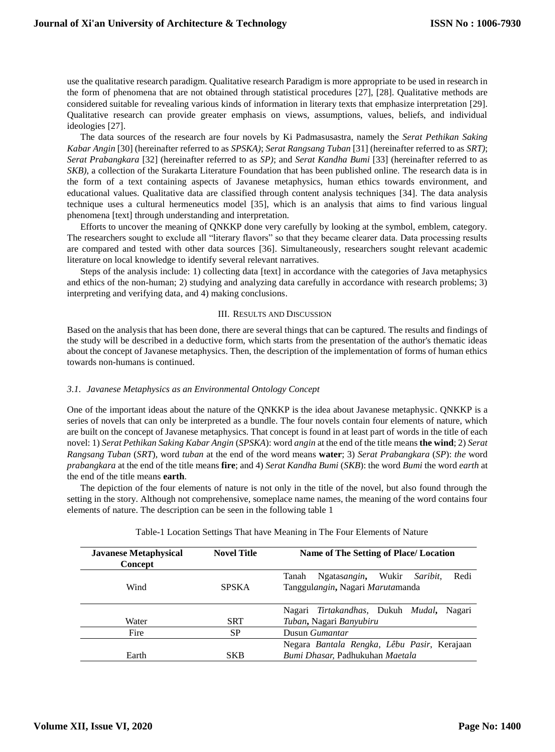use the qualitative research paradigm. Qualitative research Paradigm is more appropriate to be used in research in the form of phenomena that are not obtained through statistical procedures [27], [28]. Qualitative methods are considered suitable for revealing various kinds of information in literary texts that emphasize interpretation [29]. Qualitative research can provide greater emphasis on views, assumptions, values, beliefs, and individual ideologies [27].

The data sources of the research are four novels by Ki Padmasusastra, namely the *Serat Pethikan Saking Kabar Angin* [30] (hereinafter referred to as *SPSKA)*; *Serat Rangsang Tuban* [31] (hereinafter referred to as *SRT)*; *Serat Prabangkara* [32] (hereinafter referred to as *SP)*; and *Serat Kandha Bumi* [33] (hereinafter referred to as *SKB)*, a collection of the Surakarta Literature Foundation that has been published online. The research data is in the form of a text containing aspects of Javanese metaphysics, human ethics towards environment, and educational values. Qualitative data are classified through content analysis techniques [34]. The data analysis technique uses a cultural hermeneutics model [35], which is an analysis that aims to find various lingual phenomena [text] through understanding and interpretation.

Efforts to uncover the meaning of QNKKP done very carefully by looking at the symbol, emblem, category. The researchers sought to exclude all "literary flavors" so that they became clearer data. Data processing results are compared and tested with other data sources [36]. Simultaneously, researchers sought relevant academic literature on local knowledge to identify several relevant narratives.

Steps of the analysis include: 1) collecting data [text] in accordance with the categories of Java metaphysics and ethics of the non-human; 2) studying and analyzing data carefully in accordance with research problems; 3) interpreting and verifying data, and 4) making conclusions.

## III. RESULTS AND DISCUSSION

Based on the analysis that has been done, there are several things that can be captured. The results and findings of the study will be described in a deductive form, which starts from the presentation of the author's thematic ideas about the concept of Javanese metaphysics. Then, the description of the implementation of forms of human ethics towards non-humans is continued.

# *3.1. Javanese Metaphysics as an Environmental Ontology Concept*

One of the important ideas about the nature of the QNKKP is the idea about Javanese metaphysic. QNKKP is a series of novels that can only be interpreted as a bundle. The four novels contain four elements of nature, which are built on the concept of Javanese metaphysics. That concept is found in at least part of words in the title of each novel: 1) *Serat Pethikan Saking Kabar Angin* (*SPSKA*): word *angin* at the end of the title means **the wind**; 2) *Serat Rangsang Tuban* (*SRT*)*,* word *tuban* at the end of the word means **water**; 3) *Serat Prabangkara* (*SP*): *the* word *prabangkara* at the end of the title means **fire**; and 4) *Serat Kandha Bumi* (*SKB*): the word *Bumi* the word *earth* at the end of the title means **earth**.

The depiction of the four elements of nature is not only in the title of the novel, but also found through the setting in the story. Although not comprehensive, someplace name names, the meaning of the word contains four elements of nature. The description can be seen in the following table 1

| <b>Javanese Metaphysical</b><br><b>Concept</b> | <b>Novel Title</b> | <b>Name of The Setting of Place/ Location</b>      |  |
|------------------------------------------------|--------------------|----------------------------------------------------|--|
|                                                |                    | Redi<br>Wukir<br>Ngatasangin,<br>Saribit.<br>Tanah |  |
| Wind                                           | <b>SPSKA</b>       | Tanggulangin, Nagari Marutamanda                   |  |
|                                                |                    | Nagari Tirtakandhas, Dukuh Mudal,<br>Nagari        |  |
| Water                                          | <b>SRT</b>         | Tuban, Nagari Banyubiru                            |  |
| Fire                                           | SP                 | Dusun Gumantar                                     |  |
|                                                |                    | Negara Bantala Rengka, Lêbu Pasir, Kerajaan        |  |
| Earth                                          | <b>SKB</b>         | Bumi Dhasar, Padhukuhan Maetala                    |  |

Table-1 Location Settings That have Meaning in The Four Elements of Nature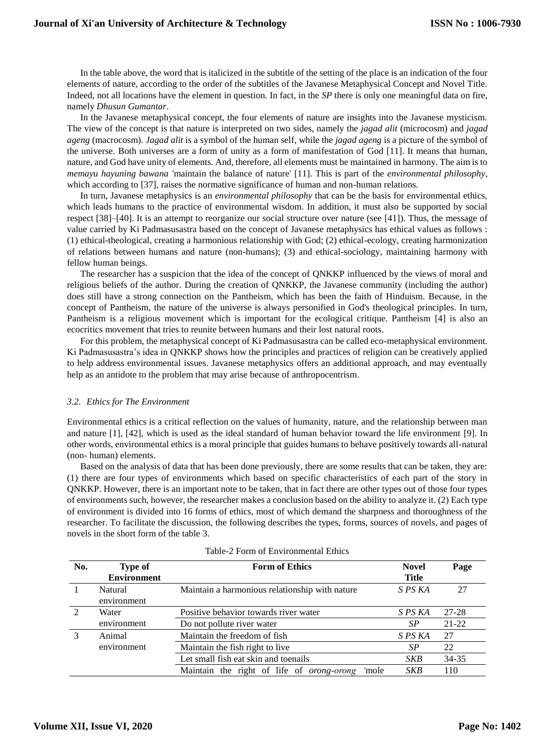In the table above, the word that is italicized in the subtitle of the setting of the place is an indication of the four elements of nature, according to the order of the subtitles of the Javanese Metaphysical Concept and Novel Title. Indeed, not all locations have the element in question. In fact, in the *SP* there is only one meaningful data on fire, namely *Dhusun Gumantar*.

In the Javanese metaphysical concept, the four elements of nature are insights into the Javanese mysticism. The view of the concept is that nature is interpreted on two sides, namely the *jagad alit* (microcosm) and *jagad ageng* (macrocosm). *Jagad alit* is a symbol of the human self, while the *jagad ageng* is a picture of the symbol of the universe. Both universes are a form of unity as a form of manifestation of God [11]. It means that human, nature, and God have unity of elements. And, therefore, all elements must be maintained in harmony. The aim is to *memayu hayuning bawana '*maintain the balance of nature' [11]. This is part of the *environmental philosophy*, which according to [37], raises the normative significance of human and non-human relations.

In turn, Javanese metaphysics is an *environmental philosophy* that can be the basis for environmental ethics, which leads humans to the practice of environmental wisdom. In addition, it must also be supported by social respect [38]–[40]. It is an attempt to reorganize our social structure over nature (see [41]). Thus, the message of value carried by Ki Padmasusastra based on the concept of Javanese metaphysics has ethical values as follows : (1) ethical-theological, creating a harmonious relationship with God; (2) ethical-ecology, creating harmonization of relations between humans and nature (non-humans); (3) and ethical-sociology, maintaining harmony with fellow human beings.

The researcher has a suspicion that the idea of the concept of QNKKP influenced by the views of moral and religious beliefs of the author. During the creation of QNKKP, the Javanese community (including the author) does still have a strong connection on the Pantheism, which has been the faith of Hinduism. Because, in the concept of Pantheism, the [nature of](https://translate.google.com/translate?hl=en&prev=_t&sl=id&tl=en&u=https://id.wikipedia.org/wiki/Hukum_kodrat) [the universe is](https://translate.google.com/translate?hl=en&prev=_t&sl=id&tl=en&u=https://id.wikipedia.org/wiki/Alam_Semesta) always personified in God's [theological](https://translate.google.com/translate?hl=en&prev=_t&sl=id&tl=en&u=https://id.wikipedia.org/wiki/Teologi) principles. In turn, Pantheism is a religious movement which is important for the ecological critique. Pantheism [4] is also an ecocritics movement that tries to reunite between humans and their lost natural roots.

For this problem, the metaphysical concept of Ki Padmasusastra can be called eco-metaphysical environment. Ki Padmasusastra's idea in QNKKP shows how the principles and practices of religion can be creatively applied to help address environmental issues. Javanese metaphysics offers an additional approach, and may eventually help as an antidote to the problem that may arise because of anthropocentrism.

## *3.2. Ethics for The Environment*

Environmental ethics is a critical reflection on the values of humanity, nature, and the relationship between man and nature [1], [42], which is used as the ideal standard of human behavior toward the life environment [9]. In other words, environmental ethics is a moral principle that guides humans to behave positively towards all-natural (non- human) elements.

Based on the analysis of data that has been done previously, there are some results that can be taken, they are: (1) there are four types of environments which based on specific characteristics of each part of the story in QNKKP. However, there is an important note to be taken, that in fact there are other types out of those four types of environments such, however, the researcher makes a conclusion based on the ability to analyze it. (2) Each type of environment is divided into 16 forms of ethics, most of which demand the sharpness and thoroughness of the researcher. To facilitate the discussion, the following describes the types, forms, sources of novels, and pages of novels in the short form of the table 3.

| No. | <b>Type of</b><br><b>Environment</b> | <b>Form of Ethics</b>                              | <b>Novel</b><br>Title | Page      |
|-----|--------------------------------------|----------------------------------------------------|-----------------------|-----------|
|     | Natural<br>environment               | Maintain a harmonious relationship with nature     | S PS KA               | 27        |
| 2   | Water                                | Positive behavior towards river water              | S PS KA               | 27-28     |
|     | environment                          | Do not pollute river water                         | SP                    | $21 - 22$ |
| 3   | Animal                               | Maintain the freedom of fish                       | S PS KA               | 27        |
|     | environment                          | Maintain the fish right to live                    | SP                    | 22        |
|     |                                      | Let small fish eat skin and toenails               | SKB                   | 34-35     |
|     |                                      | Maintain the right of life of orong-orong<br>'mole | <b>SKB</b>            | 110       |

Table-2 Form of Environmental Ethics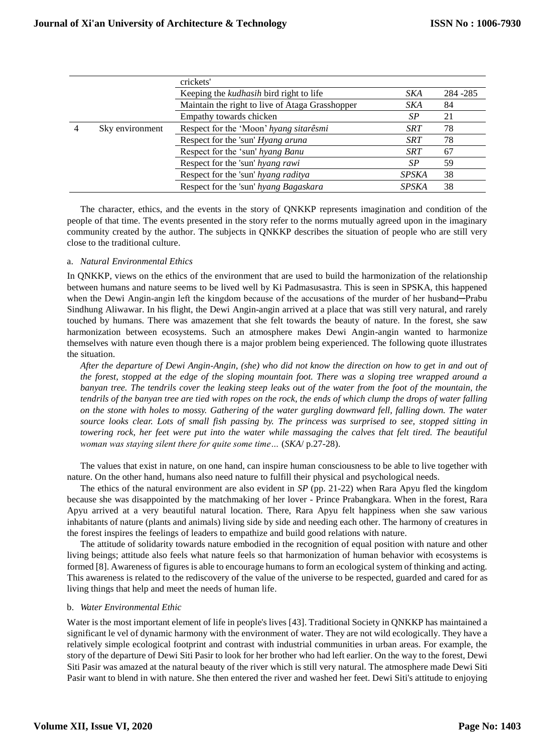|  |                 | crickets'                                       |              |           |
|--|-----------------|-------------------------------------------------|--------------|-----------|
|  |                 | Keeping the <i>kudhasih</i> bird right to life  | SKA          | 284 - 285 |
|  |                 | Maintain the right to live of Ataga Grasshopper | SKA          | 84        |
|  |                 | Empathy towards chicken                         | SP           | 21        |
|  | Sky environment | Respect for the 'Moon' hyang sitarêsmi          | <b>SRT</b>   | 78        |
|  |                 | Respect for the 'sun' Hyang aruna               | SRT          | 78        |
|  |                 | Respect for the 'sun' hyang Banu                | <b>SRT</b>   | 67        |
|  |                 | Respect for the 'sun' hyang rawi                | SP           | 59        |
|  |                 | Respect for the 'sun' hyang raditya             | <b>SPSKA</b> | 38        |
|  |                 | Respect for the 'sun' hyang Bagaskara           | <b>SPSKA</b> | 38        |

The character, ethics, and the events in the story of QNKKP represents imagination and condition of the people of that time. The events presented in the story refer to the norms mutually agreed upon in the imaginary community created by the author. The subjects in QNKKP describes the situation of people who are still very close to the traditional culture.

## a. *Natural Environmental Ethics*

In QNKKP, views on the ethics of the environment that are used to build the harmonization of the relationship between humans and nature seems to be lived well by Ki Padmasusastra. This is seen in SPSKA, this happened when the Dewi Angin-angin left the kingdom because of the accusations of the murder of her husband—Prabu Sindhung Aliwawar. In his flight, the Dewi Angin-angin arrived at a place that was still very natural, and rarely touched by humans. There was amazement that she felt towards the beauty of nature. In the forest, she saw harmonization between ecosystems. Such an atmosphere makes Dewi Angin-angin wanted to harmonize themselves with nature even though there is a major problem being experienced. The following quote illustrates the situation.

*After the departure of Dewi Angin-Angin, (she) who did not know the direction on how to get in and out of the forest, stopped at the edge of the sloping mountain foot. There was a sloping tree wrapped around a banyan tree. The tendrils cover the leaking steep leaks out of the water from the foot of the mountain, the tendrils of the banyan tree are tied with ropes on the rock, the ends of which clump the drops of water falling on the stone with holes to mossy. Gathering of the water gurgling downward fell, falling down. The water source looks clear. Lots of small fish passing by. The princess was surprised to see, stopped sitting in towering rock, her feet were put into the water while massaging the calves that felt tired. The beautiful woman was staying silent there for quite some time…* (*SKA*/ p.27-28).

The values that exist in nature, on one hand, can inspire human consciousness to be able to live together with nature. On the other hand, humans also need nature to fulfill their physical and psychological needs.

The ethics of the natural environment are also evident in *SP* (pp. 21-22) when Rara Apyu fled the kingdom because she was disappointed by the matchmaking of her lover - Prince Prabangkara. When in the forest, Rara Apyu arrived at a very beautiful natural location. There, Rara Apyu felt happiness when she saw various inhabitants of nature (plants and animals) living side by side and needing each other. The harmony of creatures in the forest inspires the feelings of leaders to empathize and build good relations with nature.

The attitude of solidarity towards nature embodied in the recognition of equal position with nature and other living beings; attitude also feels what nature feels so that harmonization of human behavior with ecosystems is formed [8]. Awareness of figures is able to encourage humans to form an ecological system of thinking and acting. This awareness is related to the rediscovery of the value of the universe to be respected, guarded and cared for as living things that help and meet the needs of human life.

## b. *Water Environmental Ethic*

Water is the most important element of life in people's lives [43]. Traditional Society in QNKKP has maintained a significant le vel of dynamic harmony with the environment of water. They are not wild ecologically. They have a relatively simple ecological footprint and contrast with industrial communities in urban areas. For example, the story of the departure of Dewi Siti Pasir to look for her brother who had left earlier. On the way to the forest, Dewi Siti Pasir was amazed at the natural beauty of the river which is still very natural. The atmosphere made Dewi Siti Pasir want to blend in with nature. She then entered the river and washed her feet. Dewi Siti's attitude to enjoying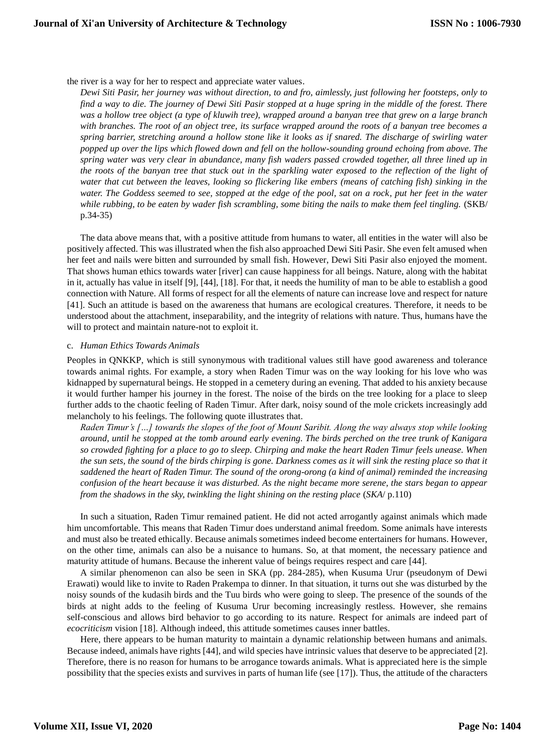the river is a way for her to respect and appreciate water values.

*Dewi Siti Pasir, her journey was without direction, to and fro, aimlessly, just following her footsteps, only to find a way to die. The journey of Dewi Siti Pasir stopped at a huge spring in the middle of the forest. There was a hollow tree object (a type of kluwih tree), wrapped around a banyan tree that grew on a large branch with branches. The root of an object tree, its surface wrapped around the roots of a banyan tree becomes a spring barrier, stretching around a hollow stone like it looks as if snared. The discharge of swirling water popped up over the lips which flowed down and fell on the hollow-sounding ground echoing from above. The spring water was very clear in abundance, many fish waders passed crowded together, all three lined up in the roots of the banyan tree that stuck out in the sparkling water exposed to the reflection of the light of water that cut between the leaves, looking so flickering like embers (means of catching fish) sinking in the water. The Goddess seemed to see, stopped at the edge of the pool, sat on a rock, put her feet in the water while rubbing, to be eaten by wader fish scrambling, some biting the nails to make them feel tingling.* (SKB/ p.34-35)

The data above means that, with a positive attitude from humans to water, all entities in the water will also be positively affected. This was illustrated when the fish also approached Dewi Siti Pasir. She even felt amused when her feet and nails were bitten and surrounded by small fish. However, Dewi Siti Pasir also enjoyed the moment. That shows human ethics towards water [river] can cause happiness for all beings. Nature, along with the habitat in it, actually has value in itself [9], [44], [18]. For that, it needs the humility of man to be able to establish a good connection with Nature. All forms of respect for all the elements of nature can increase love and respect for nature [41]. Such an attitude is based on the awareness that humans are ecological creatures. Therefore, it needs to be understood about the attachment, inseparability, and the integrity of relations with nature. Thus, humans have the will to protect and maintain nature-not to exploit it.

## c. *Human Ethics Towards Animals*

Peoples in QNKKP, which is still synonymous with traditional values still have good awareness and tolerance towards animal rights. For example, a story when Raden Timur was on the way looking for his love who was kidnapped by supernatural beings. He stopped in a cemetery during an evening. That added to his anxiety because it would further hamper his journey in the forest. The noise of the birds on the tree looking for a place to sleep further adds to the chaotic feeling of Raden Timur. After dark, noisy sound of the mole crickets increasingly add melancholy to his feelings. The following quote illustrates that.

*Raden Timur's […] towards the slopes of the foot of Mount Saribit. Along the way always stop while looking around, until he stopped at the tomb around early evening. The birds perched on the tree trunk of Kanigara so crowded fighting for a place to go to sleep. Chirping and make the heart Raden Timur feels unease. When the sun sets, the sound of the birds chirping is gone. Darkness comes as it will sink the resting place so that it saddened the heart of Raden Timur. The sound of the orong-orong (a kind of animal) reminded the increasing confusion of the heart because it was disturbed. As the night became more serene, the stars began to appear from the shadows in the sky, twinkling the light shining on the resting place* (*SKA*/ p.110)

In such a situation, Raden Timur remained patient. He did not acted arrogantly against animals which made him uncomfortable. This means that Raden Timur does understand animal freedom. Some animals have interests and must also be treated ethically. Because animals sometimes indeed become entertainers for humans. However, on the other time, animals can also be a nuisance to humans. So, at that moment, the necessary patience and maturity attitude of humans. Because the inherent value of beings requires respect and care [44].

A similar phenomenon can also be seen in SKA (pp. 284-285), when Kusuma Urur (pseudonym of Dewi Erawati) would like to invite to Raden Prakempa to dinner. In that situation, it turns out she was disturbed by the noisy sounds of the kudasih birds and the Tuu birds who were going to sleep. The presence of the sounds of the birds at night adds to the feeling of Kusuma Urur becoming increasingly restless. However, she remains self-conscious and allows bird behavior to go according to its nature. Respect for animals are indeed part of *ecocriticism* vision [18]. Although indeed, this attitude sometimes causes inner battles.

Here, there appears to be human maturity to maintain a dynamic relationship between humans and animals. Because indeed, animals have rights [44], and wild species have intrinsic values that deserve to be appreciated [2]. Therefore, there is no reason for humans to be arrogance towards animals. What is appreciated here is the simple possibility that the species exists and survives in parts of human life (see [17]). Thus, the attitude of the characters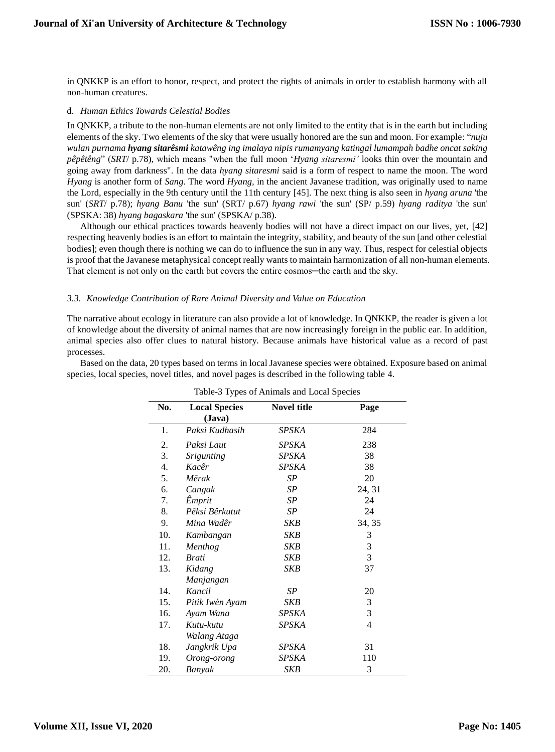in QNKKP is an effort to honor, respect, and protect the rights of animals in order to establish harmony with all non-human creatures.

## d. *Human Ethics Towards Celestial Bodies*

In QNKKP, a tribute to the non-human elements are not only limited to the entity that is in the earth but including elements of the sky. Two elements of the sky that were usually honored are the sun and moon. For example: "*nuju wulan purnama hyang sitarêsmi katawêng ing imalaya nipis rumamyang katingal lumampah badhe oncat saking pêpêtêng*" (*SRT*/ p.78), which means "when the full moon '*Hyang sitaresmi'* looks thin over the mountain and going away from darkness". In the data *hyang sitaresmi* said is a form of respect to name the moon. The word *Hyang* is another form of *Sang*. The word *Hyang,* in the ancient Javanese tradition, was originally used to name the Lord, especially in the 9th century until the 11th century [45]. The next thing is also seen in *hyang aruna* 'the sun' (*SRT*/ p.78); *hyang Banu* 'the sun' (SRT/ p.67) *hyang rawi* 'the sun' (SP/ p.59) *hyang raditya* 'the sun' (SPSKA: 38) *hyang bagaskara* 'the sun' (SPSKA/ p.38).

Although our ethical practices towards heavenly bodies will not have a direct impact on our lives, yet, [42] respecting heavenly bodies is an effort to maintain the integrity, stability, and beauty of the sun [and other celestial bodies]; even though there is nothing we can do to influence the sun in any way. Thus, respect for celestial objects is proof that the Javanese metaphysical concept really wants to maintain harmonization of all non-human elements. That element is not only on the earth but covers the entire cosmos—the earth and the sky.

# *3.3. Knowledge Contribution of Rare Animal Diversity and Value on Education*

The narrative about ecology in literature can also provide a lot of knowledge. In QNKKP, the reader is given a lot of knowledge about the diversity of animal names that are now increasingly foreign in the public ear. In addition, animal species also offer clues to natural history. Because animals have historical value as a record of past processes.

Based on the data, 20 types based on terms in local Javanese species were obtained. Exposure based on animal species, local species, novel titles, and novel pages is described in the following table 4.

| No. | <b>Local Species</b> | <b>Novel title</b> | Page           |
|-----|----------------------|--------------------|----------------|
|     | (Java)               |                    |                |
| 1.  | Paksi Kudhasih       | SPSKA              | 284            |
| 2.  | Paksi Laut           | SPSKA              | 238            |
| 3.  | <b>Srigunting</b>    | SPSKA              | 38             |
| 4.  | Kacêr                | <b>SPSKA</b>       | 38             |
| 5.  | Mêrak                | SP                 | 20             |
| 6.  | Cangak               | SP                 | 24, 31         |
| 7.  | Êmprit               | SP                 | 24             |
| 8.  | Pêksi Bêrkutut       | SP                 | 24             |
| 9.  | Mina Wadêr           | <b>SKB</b>         | 34, 35         |
| 10. | Kambangan            | <b>SKB</b>         | 3              |
| 11. | Menthog              | SKB                | 3              |
| 12. | <b>Brati</b>         | SKB                | 3              |
| 13. | Kidang               | <b>SKB</b>         | 37             |
|     | Manjangan            |                    |                |
| 14. | Kancil               | SP                 | 20             |
| 15. | Pitik Iwèn Ayam      | SKB                | 3              |
| 16. | Ayam Wana            | SPSKA              | 3              |
| 17. | Kutu-kutu            | <b>SPSKA</b>       | $\overline{4}$ |
|     | Walang Ataga         |                    |                |
| 18. | Jangkrik Upa         | SPSKA              | 31             |
| 19. | Orong-orong          | SPSKA              | 110            |
| 20. | Banyak               | <b>SKB</b>         | 3              |

Table-3 Types of Animals and Local Species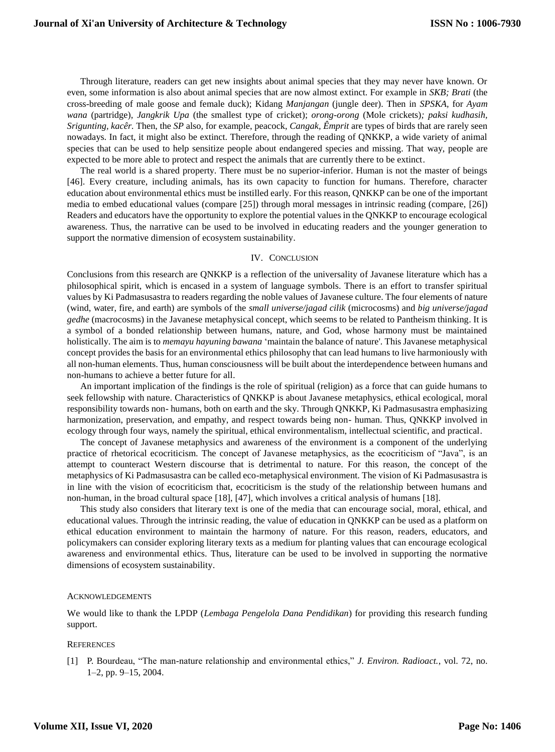Through literature, readers can get new insights about animal species that they may never have known. Or even, some information is also about animal species that are now almost extinct. For example in *SKB; Brati* (the cross-breeding of male goose and female duck); Kidang *Manjangan* (jungle deer). Then in *SPSKA,* for *Ayam wana* (partridge)*, Jangkrik Upa* (the smallest type of cricket); *orong-orong* (Mole crickets)*; paksi kudhasih, Srigunting, kacêr.* Then, the *SP* also*,* for example, peacock, *Cangak, Êmprit* are types of birds that are rarely seen nowadays. In fact, it might also be extinct. Therefore, through the reading of QNKKP, a wide variety of animal species that can be used to help sensitize people about endangered species and missing. That way, people are expected to be more able to protect and respect the animals that are currently there to be extinct.

The real world is a shared property. There must be no superior-inferior. Human is not the master of beings [46]. Every creature, including animals, has its own capacity to function for humans. Therefore, character education about environmental ethics must be instilled early. For this reason, QNKKP can be one of the important media to embed educational values (compare [25]) through moral messages in intrinsic reading (compare, [26]) Readers and educators have the opportunity to explore the potential values in the QNKKP to encourage ecological awareness. Thus, the narrative can be used to be involved in educating readers and the younger generation to support the normative dimension of ecosystem sustainability.

## IV. CONCLUSION

Conclusions from this research are QNKKP is a reflection of the universality of Javanese literature which has a philosophical spirit, which is encased in a system of language symbols. There is an effort to transfer spiritual values by Ki Padmasusastra to readers regarding the noble values of Javanese culture. The four elements of nature (wind, water, fire, and earth) are symbols of the *small universe/jagad cilik* (microcosms) and *big universe/jagad gedhe* (macrocosms) in the Javanese metaphysical concept, which seems to be related to Pantheism thinking. It is a symbol of a bonded relationship between humans, nature, and God, whose harmony must be maintained holistically. The aim is to *memayu hayuning bawana* 'maintain the balance of nature'. This Javanese metaphysical concept provides the basis for an environmental ethics philosophy that can lead humans to live harmoniously with all non-human elements. Thus, human consciousness will be built about the interdependence between humans and non-humans to achieve a better future for all.

An important implication of the findings is the role of spiritual (religion) as a force that can guide humans to seek fellowship with nature. Characteristics of QNKKP is about Javanese metaphysics, ethical ecological, moral responsibility towards non- humans, both on earth and the sky. Through QNKKP, Ki Padmasusastra emphasizing harmonization, preservation, and empathy, and respect towards being non- human. Thus, QNKKP involved in ecology through four ways, namely the spiritual, ethical environmentalism, intellectual scientific, and practical.

The concept of Javanese metaphysics and awareness of the environment is a component of the underlying practice of rhetorical ecocriticism. The concept of Javanese metaphysics, as the ecocriticism of "Java", is an attempt to counteract Western discourse that is detrimental to nature. For this reason, the concept of the metaphysics of Ki Padmasusastra can be called eco-metaphysical environment. The vision of Ki Padmasusastra is in line with the vision of ecocriticism that, ecocriticism is the study of the relationship between humans and non-human, in the broad cultural space [18], [47], which involves a critical analysis of humans [18].

This study also considers that literary text is one of the media that can encourage social, moral, ethical, and educational values. Through the intrinsic reading, the value of education in QNKKP can be used as a platform on ethical education environment to maintain the harmony of nature. For this reason, readers, educators, and policymakers can consider exploring literary texts as a medium for planting values that can encourage ecological awareness and environmental ethics. Thus, literature can be used to be involved in supporting the normative dimensions of ecosystem sustainability.

#### ACKNOWLEDGEMENTS

We would like to thank the LPDP (*Lembaga Pengelola Dana Pendidikan*) for providing this research funding support.

#### **REFERENCES**

[1] P. Bourdeau, "The man-nature relationship and environmental ethics," *J. Environ. Radioact.*, vol. 72, no. 1–2, pp. 9–15, 2004.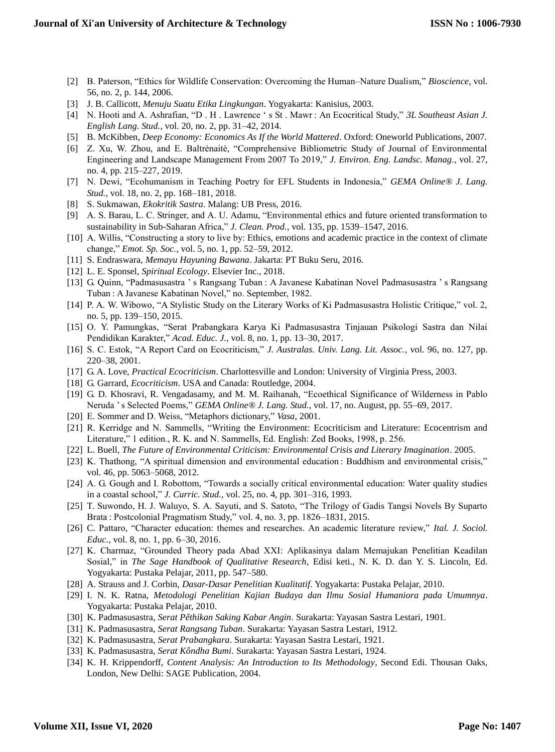- [2] B. Paterson, "Ethics for Wildlife Conservation: Overcoming the Human–Nature Dualism," *Bioscience*, vol. 56, no. 2, p. 144, 2006.
- [3] J. B. Callicott, *Menuju Suatu Etika Lingkungan*. Yogyakarta: Kanisius, 2003.
- [4] N. Hooti and A. Ashrafian, "D . H . Lawrence ' s St . Mawr : An Ecocritical Study," *3L Southeast Asian J. English Lang. Stud.*, vol. 20, no. 2, pp. 31–42, 2014.
- [5] B. McKibben, *Deep Economy: Economics As If the World Mattered*. Oxford: Oneworld Publications, 2007.
- [6] Z. Xu, W. Zhou, and E. Baltrėnaitė, "Comprehensive Bibliometric Study of Journal of Environmental Engineering and Landscape Management From 2007 To 2019," *J. Environ. Eng. Landsc. Manag.*, vol. 27, no. 4, pp. 215–227, 2019.
- [7] N. Dewi, "Ecohumanism in Teaching Poetry for EFL Students in Indonesia," *GEMA Online® J. Lang. Stud.*, vol. 18, no. 2, pp. 168–181, 2018.
- [8] S. Sukmawan, *Ekokritik Sastra*. Malang: UB Press, 2016.
- [9] A. S. Barau, L. C. Stringer, and A. U. Adamu, "Environmental ethics and future oriented transformation to sustainability in Sub-Saharan Africa," *J. Clean. Prod.*, vol. 135, pp. 1539–1547, 2016.
- [10] A. Willis, "Constructing a story to live by: Ethics, emotions and academic practice in the context of climate change," *Emot. Sp. Soc.*, vol. 5, no. 1, pp. 52–59, 2012.
- [11] S. Endraswara, *Memayu Hayuning Bawana*. Jakarta: PT Buku Seru, 2016.
- [12] L. E. Sponsel, *Spiritual Ecology*. Elsevier Inc., 2018.
- [13] G. Quinn, "Padmasusastra ' s Rangsang Tuban : A Javanese Kabatinan Novel Padmasusastra ' s Rangsang Tuban : A Javanese Kabatinan Novel," no. September, 1982.
- [14] P. A. W. Wibowo, "A Stylistic Study on the Literary Works of Ki Padmasusastra Holistic Critique," vol. 2, no. 5, pp. 139–150, 2015.
- [15] O. Y. Pamungkas, "Serat Prabangkara Karya Ki Padmasusastra Tinjauan Psikologi Sastra dan Nilai Pendidikan Karakter," *Acad. Educ. J.*, vol. 8, no. 1, pp. 13–30, 2017.
- [16] S. C. Estok, "A Report Card on Ecocriticism," *J. Australas. Univ. Lang. Lit. Assoc.*, vol. 96, no. 127, pp. 220–38, 2001.
- [17] G. A. Love, *Practical Ecocriticism*. Charlottesville and London: University of Virginia Press, 2003.
- [18] G. Garrard, *Ecocriticism*. USA and Canada: Routledge, 2004.
- [19] G. D. Khosravi, R. Vengadasamy, and M. M. Raihanah, "Ecoethical Significance of Wilderness in Pablo Neruda ' s Selected Poems," *GEMA Online® J. Lang. Stud.*, vol. 17, no. August, pp. 55–69, 2017.
- [20] E. Sommer and D. Weiss, "Metaphors dictionary," *Vasa*, 2001.
- [21] R. Kerridge and N. Sammells, "Writing the Environment: Ecocriticism and Literature: Ecocentrism and Literature," 1 edition., R. K. and N. Sammells, Ed. English: Zed Books, 1998, p. 256.
- [22] L. Buell, *The Future of Environmental Criticism: Environmental Crisis and Literary Imagination*. 2005.
- [23] K. Thathong, "A spiritual dimension and environmental education : Buddhism and environmental crisis," vol. 46, pp. 5063–5068, 2012.
- [24] A. G. Gough and I. Robottom, "Towards a socially critical environmental education: Water quality studies in a coastal school," *J. Curric. Stud.*, vol. 25, no. 4, pp. 301–316, 1993.
- [25] T. Suwondo, H. J. Waluyo, S. A. Sayuti, and S. Satoto, "The Trilogy of Gadis Tangsi Novels By Suparto Brata : Postcolonial Pragmatism Study," vol. 4, no. 3, pp. 1826–1831, 2015.
- [26] C. Pattaro, "Character education: themes and researches. An academic literature review," *Ital. J. Sociol. Educ.*, vol. 8, no. 1, pp. 6–30, 2016.
- [27] K. Charmaz, "Grounded Theory pada Abad XXI: Aplikasinya dalam Memajukan Penelitian Keadilan Sosial," in *The Sage Handbook of Qualitative Research*, Edisi keti., N. K. D. dan Y. S. Lincoln, Ed. Yogyakarta: Pustaka Pelajar, 2011, pp. 547–580.
- [28] A. Strauss and J. Corbin, *Dasar-Dasar Penelitian Kualitatif*. Yogyakarta: Pustaka Pelajar, 2010.
- [29] I. N. K. Ratna, *Metodologi Penelitian Kajian Budaya dan Ilmu Sosial Humaniora pada Umumnya*. Yogyakarta: Pustaka Pelajar, 2010.
- [30] K. Padmasusastra, *Serat Pêthikan Saking Kabar Angin*. Surakarta: Yayasan Sastra Lestari, 1901.
- [31] K. Padmasusastra, *Serat Rangsang Tuban*. Surakarta: Yayasan Sastra Lestari, 1912.
- [32] K. Padmasusastra, *Serat Prabangkara*. Surakarta: Yayasan Sastra Lestari, 1921.
- [33] K. Padmasusastra, *Serat Kôndha Bumi*. Surakarta: Yayasan Sastra Lestari, 1924.
- [34] K. H. Krippendorff, *Content Analysis: An Introduction to Its Methodology*, Second Edi. Thousan Oaks, London, New Delhi: SAGE Publication, 2004.